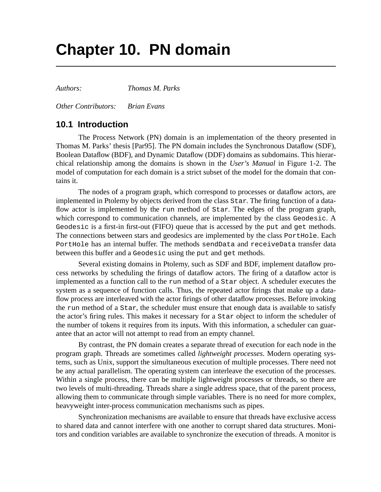# **Chapter 10. PN domain**

*Authors: Thomas M. Parks*

*Other Contributors: Brian Evans*

## **10.1 Introduction**

The Process Network (PN) domain is an implementation of the theory presented in Thomas M. Parks' thesis [Par95]. The PN domain includes the Synchronous Dataflow (SDF), Boolean Dataflow (BDF), and Dynamic Dataflow (DDF) domains as subdomains. This hierarchical relationship among the domains is shown in the *User's Manual* in Figure 1-2. The model of computation for each domain is a strict subset of the model for the domain that contains it.

The nodes of a program graph, which correspond to processes or dataflow actors, are implemented in Ptolemy by objects derived from the class Star. The firing function of a dataflow actor is implemented by the run method of Star. The edges of the program graph, which correspond to communication channels, are implemented by the class Geodesic. A Geodesic is a first-in first-out (FIFO) queue that is accessed by the put and get methods. The connections between stars and geodesics are implemented by the class PortHole. Each PortHole has an internal buffer. The methods sendData and receiveData transfer data between this buffer and a Geodesic using the put and get methods.

Several existing domains in Ptolemy, such as SDF and BDF, implement dataflow process networks by scheduling the firings of dataflow actors. The firing of a dataflow actor is implemented as a function call to the run method of a Star object. A scheduler executes the system as a sequence of function calls. Thus, the repeated actor firings that make up a dataflow process are interleaved with the actor firings of other dataflow processes. Before invoking the run method of a Star, the scheduler must ensure that enough data is available to satisfy the actor's firing rules. This makes it necessary for a Star object to inform the scheduler of the number of tokens it requires from its inputs. With this information, a scheduler can guarantee that an actor will not attempt to read from an empty channel.

By contrast, the PN domain creates a separate thread of execution for each node in the program graph. Threads are sometimes called *lightweight processes*. Modern operating systems, such as Unix, support the simultaneous execution of multiple processes. There need not be any actual parallelism. The operating system can interleave the execution of the processes. Within a single process, there can be multiple lightweight processes or threads, so there are two levels of multi-threading. Threads share a single address space, that of the parent process, allowing them to communicate through simple variables. There is no need for more complex, heavyweight inter-process communication mechanisms such as pipes.

Synchronization mechanisms are available to ensure that threads have exclusive access to shared data and cannot interfere with one another to corrupt shared data structures. Monitors and condition variables are available to synchronize the execution of threads. A monitor is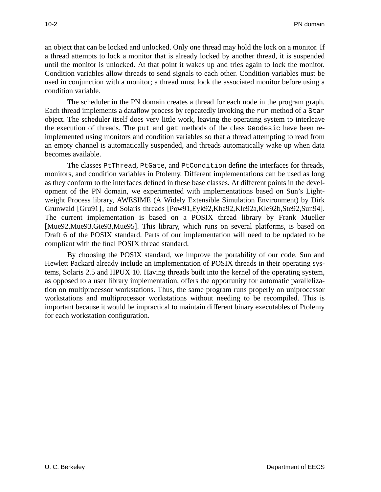an object that can be locked and unlocked. Only one thread may hold the lock on a monitor. If a thread attempts to lock a monitor that is already locked by another thread, it is suspended until the monitor is unlocked. At that point it wakes up and tries again to lock the monitor. Condition variables allow threads to send signals to each other. Condition variables must be used in conjunction with a monitor; a thread must lock the associated monitor before using a condition variable.

The scheduler in the PN domain creates a thread for each node in the program graph. Each thread implements a dataflow process by repeatedly invoking the run method of a Star object. The scheduler itself does very little work, leaving the operating system to interleave the execution of threads. The put and get methods of the class Geodesic have been reimplemented using monitors and condition variables so that a thread attempting to read from an empty channel is automatically suspended, and threads automatically wake up when data becomes available.

The classes PtThread, PtGate, and PtCondition define the interfaces for threads, monitors, and condition variables in Ptolemy. Different implementations can be used as long as they conform to the interfaces defined in these base classes. At different points in the development of the PN domain, we experimented with implementations based on Sun's Lightweight Process library, AWESIME (A Widely Extensible Simulation Environment) by Dirk Grunwald [Gru91}, and Solaris threads [Pow91,Eyk92,Kha92,Kle92a,Kle92b,Ste92,Sun94]. The current implementation is based on a POSIX thread library by Frank Mueller [Mue92,Mue93,Gie93,Mue95]. This library, which runs on several platforms, is based on Draft 6 of the POSIX standard. Parts of our implementation will need to be updated to be compliant with the final POSIX thread standard.

By choosing the POSIX standard, we improve the portability of our code. Sun and Hewlett Packard already include an implementation of POSIX threads in their operating systems, Solaris 2.5 and HPUX 10. Having threads built into the kernel of the operating system, as opposed to a user library implementation, offers the opportunity for automatic parallelization on multiprocessor workstations. Thus, the same program runs properly on uniprocessor workstations and multiprocessor workstations without needing to be recompiled. This is important because it would be impractical to maintain different binary executables of Ptolemy for each workstation configuration.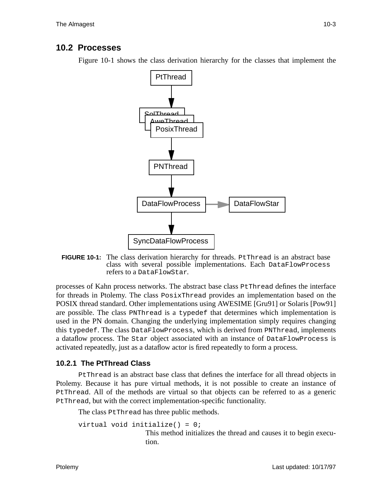# **10.2 Processes**

Figure 10-1 shows the class derivation hierarchy for the classes that implement the



**FIGURE 10-1:** The class derivation hierarchy for threads. PtThread is an abstract base class with several possible implementations. Each DataFlowProcess refers to a DataFlowStar.

processes of Kahn process networks. The abstract base class PtThread defines the interface for threads in Ptolemy. The class PosixThread provides an implementation based on the POSIX thread standard. Other implementations using AWESIME [Gru91] or Solaris [Pow91] are possible. The class PNThread is a typedef that determines which implementation is used in the PN domain. Changing the underlying implementation simply requires changing this typedef. The class DataFlowProcess, which is derived from PNThread, implements a dataflow process. The Star object associated with an instance of DataFlowProcess is activated repeatedly, just as a dataflow actor is fired repeatedly to form a process.

## **10.2.1 The PtThread Class**

PtThread is an abstract base class that defines the interface for all thread objects in Ptolemy. Because it has pure virtual methods, it is not possible to create an instance of PtThread. All of the methods are virtual so that objects can be referred to as a generic PtThread, but with the correct implementation-specific functionality.

The class PtThread has three public methods.

```
virtual void initialize() = 0;
```
This method initializes the thread and causes it to begin execution.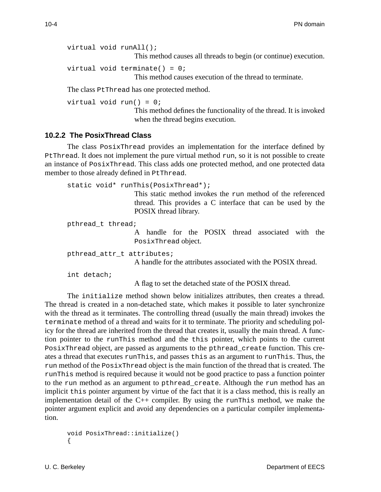virtual void runAll();

This method causes all threads to begin (or continue) execution.

virtual void terminate() =  $0$ ;

This method causes execution of the thread to terminate.

The class PtThread has one protected method.

virtual void run() = 0;

This method defines the functionality of the thread. It is invoked when the thread begins execution.

#### **10.2.2 The PosixThread Class**

The class PosixThread provides an implementation for the interface defined by PtThread. It does not implement the pure virtual method run, so it is not possible to create an instance of PosixThread. This class adds one protected method, and one protected data member to those already defined in PtThread.

```
static void* runThis(PosixThread*);
                   This static method invokes the run method of the referenced
                    thread. This provides a C interface that can be used by the
                   POSIX thread library.
```
pthread\_t thread;

A handle for the POSIX thread associated with the PosixThread object.

pthread attr t attributes;

A handle for the attributes associated with the POSIX thread.

int detach;

A flag to set the detached state of the POSIX thread.

The initialize method shown below initializes attributes, then creates a thread. The thread is created in a non-detached state, which makes it possible to later synchronize with the thread as it terminates. The controlling thread (usually the main thread) invokes the terminate method of a thread and waits for it to terminate. The priority and scheduling policy for the thread are inherited from the thread that creates it, usually the main thread. A function pointer to the runThis method and the this pointer, which points to the current PosixThread object, are passed as arguments to the pthread\_create function. This creates a thread that executes runThis, and passes this as an argument to runThis. Thus, the run method of the PosixThread object is the main function of the thread that is created. The runThis method is required because it would not be good practice to pass a function pointer to the run method as an argument to pthread\_create. Although the run method has an implicit this pointer argument by virtue of the fact that it is a class method, this is really an implementation detail of the  $C_{++}$  compiler. By using the runThis method, we make the pointer argument explicit and avoid any dependencies on a particular compiler implementation.

```
void PosixThread::initialize()
{
```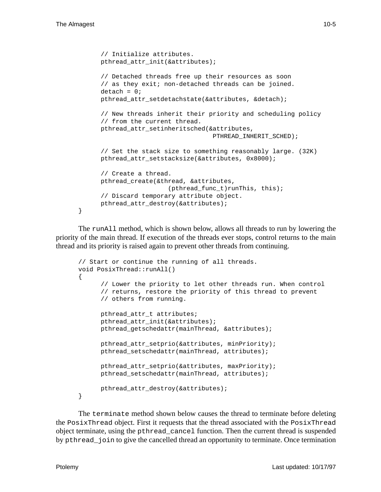}

```
// Initialize attributes.
pthread_attr_init(&attributes);
// Detached threads free up their resources as soon
// as they exit; non-detached threads can be joined.
delta = 0;
pthread_attr_setdetachstate(&attributes, &detach);
// New threads inherit their priority and scheduling policy
// from the current thread.
pthread_attr_setinheritsched(&attributes,
                              PTHREAD_INHERIT_SCHED);
// Set the stack size to something reasonably large. (32K)
pthread attr setstacksize(&attributes, 0x8000);
// Create a thread.
pthread_create(&thread, &attributes,
                 (pthread func t)runThis, this);
// Discard temporary attribute object.
pthread_attr_destroy(&attributes);
```
The runAll method, which is shown below, allows all threads to run by lowering the priority of the main thread. If execution of the threads ever stops, control returns to the main thread and its priority is raised again to prevent other threads from continuing.

```
// Start or continue the running of all threads.
void PosixThread::runAll()
{
      // Lower the priority to let other threads run. When control
      // returns, restore the priority of this thread to prevent
      // others from running.
      pthread_attr_t attributes;
      pthread_attr_init(&attributes);
      pthread qetschedattr(mainThread, &attributes);
      pthread_attr_setprio(&attributes, minPriority);
      pthread_setschedattr(mainThread, attributes);
      pthread_attr_setprio(&attributes, maxPriority);
      pthread setschedattr(mainThread, attributes);
      pthread_attr_destroy(&attributes);
}
```
The terminate method shown below causes the thread to terminate before deleting the PosixThread object. First it requests that the thread associated with the PosixThread object terminate, using the pthread\_cancel function. Then the current thread is suspended by pthread\_join to give the cancelled thread an opportunity to terminate. Once termination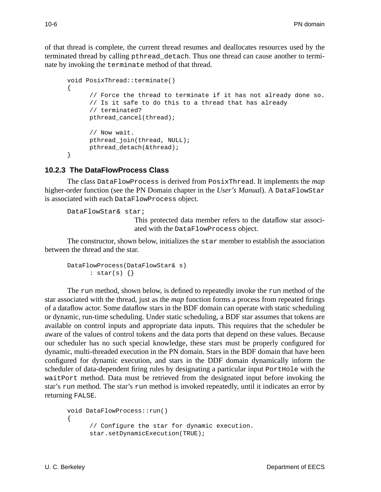of that thread is complete, the current thread resumes and deallocates resources used by the terminated thread by calling pthread\_detach. Thus one thread can cause another to terminate by invoking the terminate method of that thread.

```
void PosixThread::terminate()
{
      // Force the thread to terminate if it has not already done so.
      // Is it safe to do this to a thread that has already
      // terminated?
      pthread cancel(thread);
      // Now wait.
      pthread_join(thread, NULL);
      pthread detach(&thread);
}
```
#### **10.2.3 The DataFlowProcess Class**

The class DataFlowProcess is derived from PosixThread. It implements the *map* higher-order function (see the PN Domain chapter in the *User's Manual*). A DataFlowStar is associated with each DataFlowProcess object.

```
DataFlowStar& star;
```
This protected data member refers to the dataflow star associated with the DataFlowProcess object.

The constructor, shown below, initializes the star member to establish the association between the thread and the star.

```
DataFlowProcess(DataFlowStar& s)
      : star(s) {}
```
The run method, shown below, is defined to repeatedly invoke the run method of the star associated with the thread, just as the *map* function forms a process from repeated firings of a dataflow actor. Some dataflow stars in the BDF domain can operate with static scheduling or dynamic, run-time scheduling. Under static scheduling, a BDF star assumes that tokens are available on control inputs and appropriate data inputs. This requires that the scheduler be aware of the values of control tokens and the data ports that depend on these values. Because our scheduler has no such special knowledge, these stars must be properly configured for dynamic, multi-threaded execution in the PN domain. Stars in the BDF domain that have been configured for dynamic execution, and stars in the DDF domain dynamically inform the scheduler of data-dependent firing rules by designating a particular input PortHole with the waitPort method. Data must be retrieved from the designated input before invoking the star's run method. The star's run method is invoked repeatedly, until it indicates an error by returning FALSE.

```
void DataFlowProcess::run()
{
     // Configure the star for dynamic execution.
      star.setDynamicExecution(TRUE);
```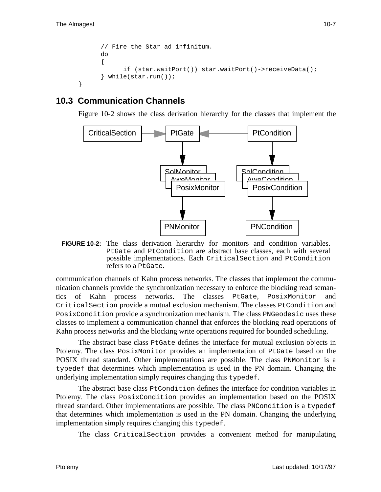}

```
// Fire the Star ad infinitum.
do
{
      if (star.waitPort()) star.waitPort()->receiveData();
} while(star.run());
```
# **10.3 Communication Channels**

Figure 10-2 shows the class derivation hierarchy for the classes that implement the



**FIGURE 10-2:** The class derivation hierarchy for monitors and condition variables. PtGate and PtCondition are abstract base classes, each with several possible implementations. Each CriticalSection and PtCondition refers to a PtGate.

communication channels of Kahn process networks. The classes that implement the communication channels provide the synchronization necessary to enforce the blocking read semantics of Kahn process networks. The classes PtGate, PosixMonitor and CriticalSection provide a mutual exclusion mechanism. The classes PtCondition and PosixCondition provide a synchronization mechanism. The class PNGeodesic uses these classes to implement a communication channel that enforces the blocking read operations of Kahn process networks and the blocking write operations required for bounded scheduling.

The abstract base class PtGate defines the interface for mutual exclusion objects in Ptolemy. The class PosixMonitor provides an implementation of PtGate based on the POSIX thread standard. Other implementations are possible. The class PNMonitor is a typedef that determines which implementation is used in the PN domain. Changing the underlying implementation simply requires changing this typedef.

The abstract base class PtCondition defines the interface for condition variables in Ptolemy. The class PosixCondition provides an implementation based on the POSIX thread standard. Other implementations are possible. The class PNCondition is a typedef that determines which implementation is used in the PN domain. Changing the underlying implementation simply requires changing this typedef.

The class CriticalSection provides a convenient method for manipulating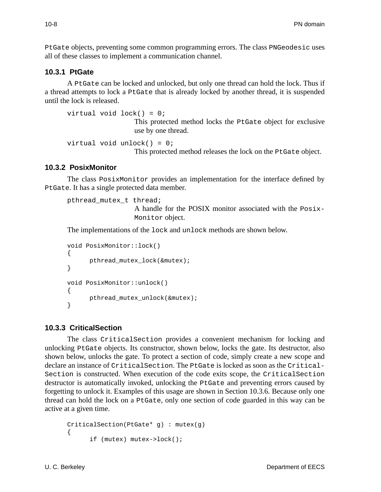PtGate objects, preventing some common programming errors. The class PNGeodesic uses all of these classes to implement a communication channel.

#### **10.3.1 PtGate**

A PtGate can be locked and unlocked, but only one thread can hold the lock. Thus if a thread attempts to lock a PtGate that is already locked by another thread, it is suspended until the lock is released.

```
virtual void lock() = 0;
                   This protected method locks the PtGate object for exclusive
                   use by one thread.
virtual void unlock() = 0;
```
This protected method releases the lock on the PtGate object.

### **10.3.2 PosixMonitor**

The class PosixMonitor provides an implementation for the interface defined by PtGate. It has a single protected data member.

```
pthread_mutex_t thread;
```
A handle for the POSIX monitor associated with the Posix-Monitor object.

The implementations of the lock and unlock methods are shown below.

```
void PosixMonitor::lock()
{
      pthread_mutex_lock(&mutex);
}
void PosixMonitor::unlock()
{
      pthread_mutex_unlock(&mutex);
}
```
### **10.3.3 CriticalSection**

The class CriticalSection provides a convenient mechanism for locking and unlocking PtGate objects. Its constructor, shown below, locks the gate. Its destructor, also shown below, unlocks the gate. To protect a section of code, simply create a new scope and declare an instance of CriticalSection. The PtGate is locked as soon as the Critical-Section is constructed. When execution of the code exits scope, the CriticalSection destructor is automatically invoked, unlocking the PtGate and preventing errors caused by forgetting to unlock it. Examples of this usage are shown in Section 10.3.6. Because only one thread can hold the lock on a PtGate, only one section of code guarded in this way can be active at a given time.

```
CriticalSection(PtGate* g) : mutex(g)
{
      if (mutex) mutex->lock();
```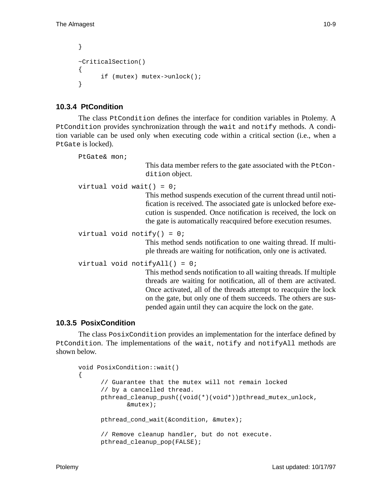```
}
~CriticalSection()
{
      if (mutex) mutex->unlock();
}
```
## **10.3.4 PtCondition**

The class PtCondition defines the interface for condition variables in Ptolemy. A PtCondition provides synchronization through the wait and notify methods. A condition variable can be used only when executing code within a critical section (i.e., when a PtGate is locked).

```
PtGate& mon;
                      This data member refers to the gate associated with the PtCon-
                      dition object.
virtual void wait() = 0;
                      This method suspends execution of the current thread until noti-
                      fication is received. The associated gate is unlocked before exe-
                      cution is suspended. Once notification is received, the lock on
                      the gate is automatically reacquired before execution resumes.
virtual void notify() = 0;
                      This method sends notification to one waiting thread. If multi-
                      ple threads are waiting for notification, only one is activated.
virtual void notifyAll() = 0;
                      This method sends notification to all waiting threads. If multiple
                      threads are waiting for notification, all of them are activated.
                      Once activated, all of the threads attempt to reacquire the lock
                      on the gate, but only one of them succeeds. The others are sus-
                      pended again until they can acquire the lock on the gate.
```
### **10.3.5 PosixCondition**

The class PosixCondition provides an implementation for the interface defined by PtCondition. The implementations of the wait, notify and notifyAll methods are shown below.

```
void PosixCondition::wait()
{
      // Guarantee that the mutex will not remain locked
      // by a cancelled thread.
      pthread_cleanup_push((void(*)(void*))pthread_mutex_unlock,
              &mutex);
      pthread cond wait(&condition, &mutex);
      // Remove cleanup handler, but do not execute.
      pthread_cleanup_pop(FALSE);
```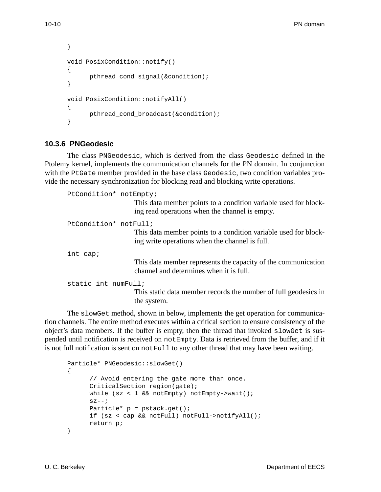```
}
void PosixCondition::notify()
{
      pthread_cond_signal(&condition);
}
void PosixCondition::notifyAll()
{
      pthread cond broadcast(&condition);
}
```
### **10.3.6 PNGeodesic**

The class PNGeodesic, which is derived from the class Geodesic defined in the Ptolemy kernel, implements the communication channels for the PN domain. In conjunction with the PtGate member provided in the base class Geodesic, two condition variables provide the necessary synchronization for blocking read and blocking write operations.

```
PtCondition* notEmpty;
                     This data member points to a condition variable used for block-
                     ing read operations when the channel is empty.
PtCondition* notFull;
                     This data member points to a condition variable used for block-
                     ing write operations when the channel is full.
int cap;
                     This data member represents the capacity of the communication
                     channel and determines when it is full.
static int numFull;
                     This static data member records the number of full geodesics in
                     the system.
```
The slowGet method, shown in below, implements the get operation for communication channels. The entire method executes within a critical section to ensure consistency of the object's data members. If the buffer is empty, then the thread that invoked slowGet is suspended until notification is received on notEmpty. Data is retrieved from the buffer, and if it is not full notification is sent on not Full to any other thread that may have been waiting.

```
Particle* PNGeodesic::slowGet()
{
      // Avoid entering the gate more than once.
     CriticalSection region(gate);
     while (sz < 1 && notEmpty) notEmpty->wait();
      sz--;Particle* p = pstack.get();
     if (sz < cap && notFull) notFull->notifyAll();
     return p;
}
```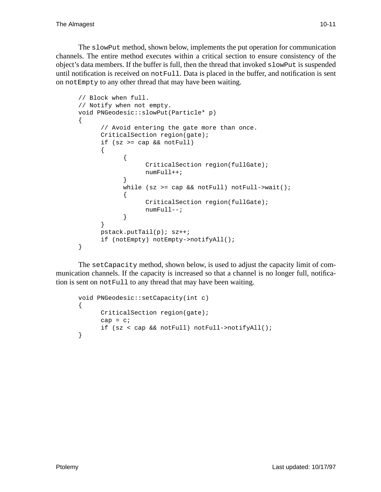The slowPut method, shown below, implements the put operation for communication channels. The entire method executes within a critical section to ensure consistency of the object's data members. If the buffer is full, then the thread that invoked slowPut is suspended until notification is received on notFull. Data is placed in the buffer, and notification is sent on notEmpty to any other thread that may have been waiting.

```
// Block when full.
// Notify when not empty.
void PNGeodesic::slowPut(Particle* p)
{
      // Avoid entering the gate more than once.
      CriticalSection region(gate);
      if (sz >= cap && notFull)
      {
            {
                  CriticalSection region(fullGate);
                  numFull++;
            }
            while (sz >= cap && notFull) notFull->wait();
            {
                  CriticalSection region(fullGate);
                  numFull--;
            }
      }
      pstack.putTail(p); sz++;
      if (notEmpty) notEmpty->notifyAll();
}
```
The setCapacity method, shown below, is used to adjust the capacity limit of communication channels. If the capacity is increased so that a channel is no longer full, notification is sent on notFull to any thread that may have been waiting.

```
void PNGeodesic::setCapacity(int c)
{
     CriticalSection region(gate);
     cap = ciif (sz < cap && notFull) notFull->notifyAll();
}
```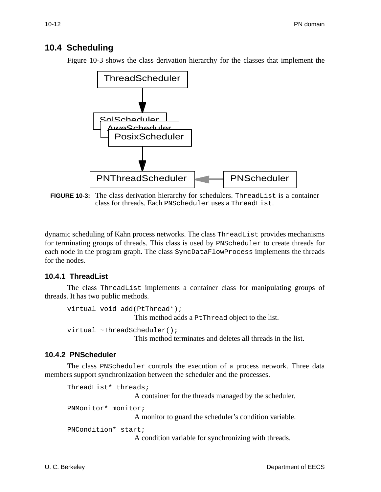## **10.4 Scheduling**

Figure 10-3 shows the class derivation hierarchy for the classes that implement the



**FIGURE 10-3:** The class derivation hierarchy for schedulers. ThreadList is a container class for threads. Each PNScheduler uses a ThreadList.

dynamic scheduling of Kahn process networks. The class ThreadList provides mechanisms for terminating groups of threads. This class is used by PNScheduler to create threads for each node in the program graph. The class SyncDataFlowProcess implements the threads for the nodes.

#### **10.4.1 ThreadList**

The class ThreadList implements a container class for manipulating groups of threads. It has two public methods.

```
virtual void add(PtThread*);
                  This method adds a PtThread object to the list.
virtual ~ThreadScheduler();
```
This method terminates and deletes all threads in the list.

#### **10.4.2 PNScheduler**

The class PNScheduler controls the execution of a process network. Three data members support synchronization between the scheduler and the processes.

```
ThreadList* threads;
                    A container for the threads managed by the scheduler.
PNMonitor* monitor;
                    A monitor to guard the scheduler's condition variable.
PNCondition* start;
                    A condition variable for synchronizing with threads.
```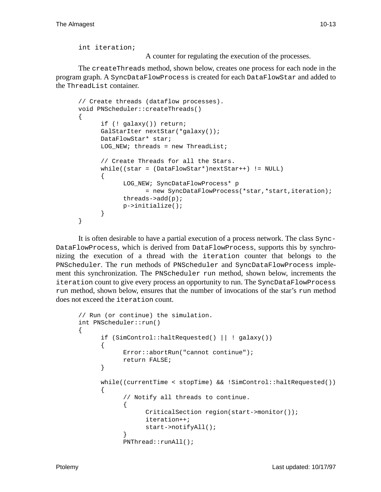int iteration;

A counter for regulating the execution of the processes.

The createThreads method, shown below, creates one process for each node in the program graph. A SyncDataFlowProcess is created for each DataFlowStar and added to the ThreadList container.

```
// Create threads (dataflow processes).
void PNScheduler::createThreads()
{
      if (! galaxy()) return;
      GalStarIter nextStar(*galaxy());
      DataFlowStar* star;
      LOG NEW; threads = new ThreadList;
      // Create Threads for all the Stars.
      while((star = (DataFlowStar*)nextStar++) != NULL)
      {
            LOG NEW; SyncDataFlowProcess* p
                  = new SyncDataFlowProcess(*star,*start,iteration);
            threads->add(p);
            p->initialize();
      }
}
```
It is often desirable to have a partial execution of a process network. The class Sync-DataFlowProcess, which is derived from DataFlowProcess, supports this by synchronizing the execution of a thread with the iteration counter that belongs to the PNScheduler. The run methods of PNScheduler and SyncDataFlowProcess implement this synchronization. The PNScheduler run method, shown below, increments the iteration count to give every process an opportunity to run. The SyncDataFlowProcess run method, shown below, ensures that the number of invocations of the star's run method does not exceed the iteration count.

```
// Run (or continue) the simulation.
int PNScheduler::run()
{
      if (SimControl::haltRequested() || ! galaxy())
      {
            Error::abortRun("cannot continue");
            return FALSE;
      }
      while((currentTime < stopTime) && !SimControl::haltRequested())
      {
            // Notify all threads to continue.
            {
                  CriticalSection region(start->monitor());
                  iteration++;
                  start->notifyAll();
            }
            PNThread::runAll();
```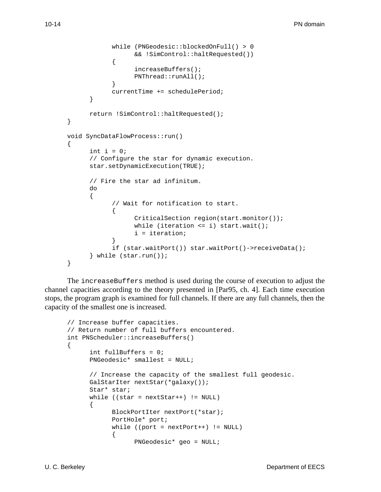```
while (PNGeodesic::blockedOnFull() > 0
                  && !SimControl::haltRequested())
            {
                  increaseBuffers();
                  PNThread::runAll();
            }
            currentTime += schedulePeriod;
      }
      return !SimControl::haltRequested();
}
void SyncDataFlowProcess::run()
\{int i = 0;
      // Configure the star for dynamic execution.
      star.setDynamicExecution(TRUE);
      // Fire the star ad infinitum.
      do
      {
            // Wait for notification to start.
            {
                  CriticalSection region(start.monitor());
                  while (iteration <= i) start.wait();
                  i = iteration;
            }
            if (star.waitPort()) star.waitPort()->receiveData();
      } while (star.run());
}
```
The increaseBuffers method is used during the course of execution to adjust the channel capacities according to the theory presented in [Par95, ch. 4]. Each time execution stops, the program graph is examined for full channels. If there are any full channels, then the capacity of the smallest one is increased.

```
// Increase buffer capacities.
// Return number of full buffers encountered.
int PNScheduler::increaseBuffers()
{
      int fullBuffers = 0;
      PNGeodesic* smallest = NULL;
      // Increase the capacity of the smallest full geodesic.
     GalStarIter nextStar(*galaxy());
      Star* star;
     while ((star = nextStar++) != NULL)
      {
            BlockPortIter nextPort(*star);
            PortHole* port;
            while ((port = nextPort++) != NULL)
            {
                  PNGeodesic* geo = NULL;
```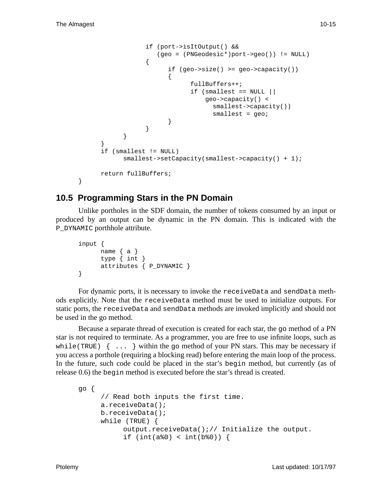```
if (port->isItOutput() &&
                       (geo = (PNGeodesic*)port->geo()) != NULL)
                   {
                         if (qeo->size() >= qeo->capacity()){
                               fullBuffers++;
                               if (smallest == NULL ||
                                    geo->capacity() <
                                     smallest->capacity())
                                     smallest = geo;
                         }
                   }
            }
      }
      if (smallest != NULL)
            smallest->setCapacity(smallest->capacity() + 1);
      return fullBuffers;
}
```
# **10.5 Programming Stars in the PN Domain**

Unlike portholes in the SDF domain, the number of tokens consumed by an input or produced by an output can be dynamic in the PN domain. This is indicated with the P\_DYNAMIC porthhole attribute.

```
input {
     name { a }
     type { int }
      attributes { P_DYNAMIC }
}
```
For dynamic ports, it is necessary to invoke the receiveData and sendData methods explicitly. Note that the receiveData method must be used to initialize outputs. For static ports, the receiveData and sendData methods are invoked implicitly and should not be used in the go method.

Because a separate thread of execution is created for each star, the go method of a PN star is not required to terminate. As a programmer, you are free to use infinite loops, such as while(TRUE)  $\{ \ldots \}$  within the go method of your PN stars. This may be necessary if you access a porthole (requiring a blocking read) before entering the main loop of the process. In the future, such code could be placed in the star's begin method, but currently (as of release 0.6) the begin method is executed before the star's thread is created.

```
go {
      // Read both inputs the first time.
     a.receiveData();
     b.receiveData();
     while (TRUE) {
           output.receiveData();// Initialize the output.
           if (int(a&amp;0) < int(b&amp;0)) {
```